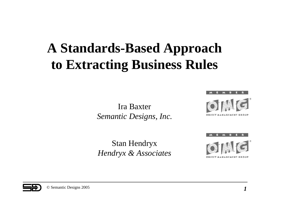# **A Standards-Based Approach to Extracting Business Rules**

Ira Baxter *Semantic Designs, Inc.*



п  $M$  $\mathbf{B}$ 

ORIECT MANAGEMENT GROUP

Stan Hendryx *Hendryx & Associates*



M B E



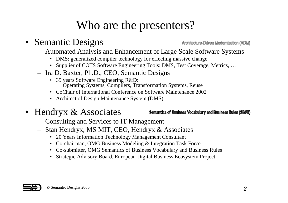## Who are the presenters?

• Semantic Designs

Architecture-Driven Modernization (ADM)

- Automated Analysis and Enhancement of Large Scale Software Systems
	- DMS: generalized compiler technology for effecting massive change
	- Supplier of COTS Software Engineering Tools: DMS, Test Coverage, Metrics, …
- Ira D. Baxter, Ph.D., CEO, Semantic Designs
	- 35 years Software Engineering R&D: Operating Systems, Compilers, Transformation Systems, Reuse
	- CoChair of International Conference on Software Maintenance 2002
	- Architect of Design Maintenance System (DMS)
- Hendryx & Associates

#### **Semantics of Business Vocabulary and Business Rules (SBVR)**

- Consulting and Services to IT Management
- Stan Hendryx, MS MIT, CEO, Hendryx & Associates
	- 20 Years Information Technology Management Consultant
	- Co-chairman, OMG Business Modeling & Integration Task Force
	- Co-submitter, OMG Semantics of Business Vocabulary and Business Rules
	- Strategic Advisory Board, European Digital Business Ecosystem Project

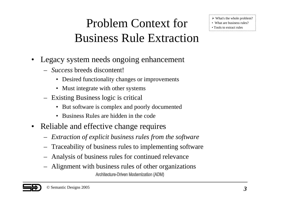## Problem Context for Business Rule Extraction

- • Legacy system needs ongoing enhancement
	- *Success* breeds discontent!
		- Desired functionality changes or improvements
		- Must integrate with other systems
	- Existing Business logic is critical
		- But software is complex and poorly documented
		- Business Rules are hidden in the code
- $\bullet$ • Reliable and effective change requires
	- *Extraction of explicit business rules from the software*
	- –Traceability of business rules to implementing software
	- Analysis of business rules for continued relevance
	- Alignment with business rules of other organizations Architecture-Driven Modernization (ADM)



 What's the whole problem? • What are business rules? • Tools to extract rules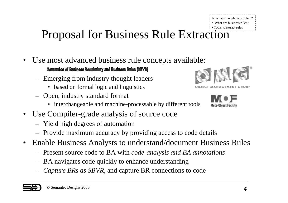What's the whole problem? • What are business rules? • Tools to extract rules

## Proposal for Business Rule Extraction

•Use most advanced business rule concepts available:

**Semantics of Business Vocabulary and Business Rules (SBVR)** 

- Emerging from industry thought leaders
	- based on formal logic and linguistics
- Open, industry standard format
	- interchangeable and machine-processable by different tools
- $\bullet$  Use Compiler-grade analysis of source code
	- Yield high degrees of automation
	- Provide maximum accuracy by providing access to code details
- $\bullet$  Enable Business Analysts to understand/document Business Rules
	- Present source code to BA with *code-analysis and BA annotations*
	- BA navigates code quickly to enhance understanding
	- *Capture BRs as SBVR*, and capture BR connections to code







```
MANAGEMENT GROUP
```
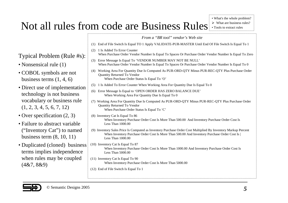#### • What's the whole problem?  $\triangleright$  What are business rules?

Not all rules from code are Business Rules • Tools to extract rules

|                                                              | From a "BR tool" vendor's Web site                                                                                                                                                                                                |  |  |  |
|--------------------------------------------------------------|-----------------------------------------------------------------------------------------------------------------------------------------------------------------------------------------------------------------------------------|--|--|--|
|                                                              | (1) End of File Switch Is Equal TO 1 Apply VALIDATE-PUR-MASTER Until End Of File Switch Is Equal To 1                                                                                                                             |  |  |  |
| Typical Problem (Rule #s):                                   | 1 Is Added To Error Counter<br>(2)<br>When Purchase Order Vendor Number Is Equal To Spaces Or Purchase Order Vendor Number Is Equal To Zero                                                                                       |  |  |  |
| • Nonsensical rule (1)                                       | Error Message Is Equal To 'VENDOR NUMBER MAY NOT BE NULL'<br>(3)<br>When Purchase Order Vendor Number Is Equal To Spaces Or Purchase Order Vendor Number Is Equal To 0                                                            |  |  |  |
| • COBOL symbols are not<br>business terms $(1, 4, 6)$        | (4) Working Area For Quantity Due Is Computed As PUR-ORD-QTY Minus PUR-REC-QTY Plus Purchase Order<br>Quantity Returned To Vendor<br>When Purchase Order Status Is Equal To 'O'                                                   |  |  |  |
| • Direct use of implementation                               | (5) 1 Is Added To Error Counter When Working Area For Quantity Due Is Equal To 0                                                                                                                                                  |  |  |  |
| technology is not business                                   | Error Message Is Equal to 'OPEN ORDER HAS ZERO BALANCE DUE'<br>(6)<br>When Working Area For Quantity Due Is Equal To 0                                                                                                            |  |  |  |
| vocabulary or business rule<br>(1, 2, 3, 4, 5, 6, 7, 12)     | (7) Working Area For Quantity Due Is Computed As PUR-ORD-QTY Minus PUR-REC-QTY Plus Purchase Order<br>Quantity Returned To Vendor<br>When Purchase Order Status Is Equal To 'C'                                                   |  |  |  |
| • Over specification $(2, 3)$                                | (8) Inventory Cat Is Equal To 86<br>When Inventory Purchase Order Cost Is More Than 500.00 And Inventory Purchase Order Cost Is                                                                                                   |  |  |  |
| • Failure to abstract variable                               | Less Than 1000.00                                                                                                                                                                                                                 |  |  |  |
| ("Inventory Cat") to named<br>business term $(8, 10, 11)$    | (9) Inventory Sales Price Is Computed as Inventory Purchase Order Cost Multiplied By Inventory Markup Percent<br>When Inventory Purchase Order Cost Is More Than 500.00 And Inventory Purchase Order Cost Is<br>Less Than 1000.00 |  |  |  |
| • Duplicated (cloned) business<br>terms implies independence | (10) Inventory Cat Is Equal To 87<br>When Inventory Purchase Order Cost Is More Than 1000.00 And Inventory Purchase Order Cost Is<br>Less Than 5000.00                                                                            |  |  |  |
| when rules may be coupled<br>(4&7, 8&9)                      | (11) Inventory Cat Is Equal To 90<br>When Inventory Purchase Order Cost Is More Than 5000.00                                                                                                                                      |  |  |  |
|                                                              | (12) End of File Switch Is Equal To 1                                                                                                                                                                                             |  |  |  |

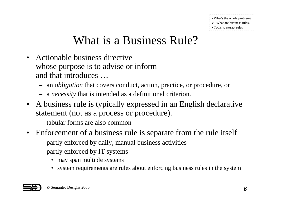## What is a Business Rule?

- Actionable business directive whose purpose is to advise or inform and that introduces …
	- an *obligation* that covers conduct, action, practice, or procedure, or
	- <sup>a</sup> *necessity* that is intended as <sup>a</sup> definitional criterion.
- A business rule is typically expressed in an English declarative statement (not as <sup>a</sup> process or procedure).
	- tabular forms are also common
- Enforcement of a business rule is separate from the rule itself
	- partly enforced by daily, manual business activities
	- partly enforced by IT systems
		- may span multiple systems
		- system requirements are rules about enforcing business rules in the system

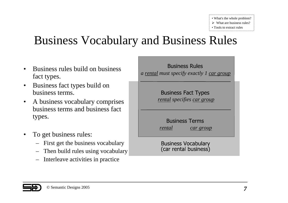## Business Vocabulary and Business Rules

- •• Business rules build on business fact types.
- •• Business fact types build on business terms.
- • A business vocabulary comprises business terms and business fact types.
- $\bullet$ • To get business rules:
	- First ge<sup>t</sup> the business vocabulary
	- –Then build rules using vocabulary
	- Interleave activities in practice



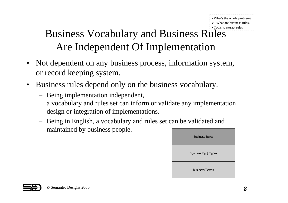### Business Vocabulary and Business Rules Are Independent Of Implementation

- Not dependent on any business process, information system, or record keeping system.
- •• Business rules depend only on the business vocabulary.
	- Being implementation independent, a vocabulary and rules set can inform or validate any implementation design or integration of implementations.
	- Being in English, <sup>a</sup> vocabulary and rules set can be validated and maintained by business people.



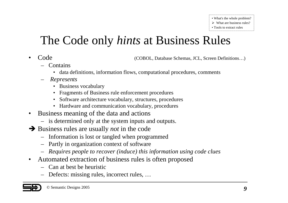## The Code only *hints* at Business Rules

•Code

(COBOL, Database Schemas, JCL, Screen Definitions…)

- Contains
	- data definitions, information flows, computational procedures, comments
- *Represents*
	- Business vocabulary
	- Fragments of Business rule enforcement procedures
	- Software architecture vocabulary, structures, procedures
	- Hardware and communication vocabulary, procedures
- •• Business meaning of the data and actions
	- is determined only at the system inputs and outputs.
- Business rules are usually *not* in the code
	- Information is lost or tangled when programmed
	- Partly in organization context of software
	- *Requires people to recover (induce) this information using code clues*
- $\bullet$ • Automated extraction of business rules is often proposed
	- Can at best be heuristic
	- Defects: missing rules, incorrect rules, …

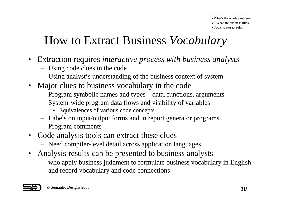## How to Extract Business *Vocabulary*

- Extraction requires *interactive process with business analysts*
	- Using code clues in the code
	- Using analyst's understanding of the business context of system
- Major clues to business vocabulary in the code
	- Program symbolic names and types data, functions, arguments
	- System-wide program data flows and visibility of variables
		- Equivalences of various code concepts
	- Labels on input/output forms and in repor<sup>t</sup> generator programs
	- Program comments
- Code analysis tools can extract these clues
	- Need compiler-level detail across application languages
- $\bullet$  Analysis results can be presented to business analysts
	- who apply business judgment to formulate business vocabulary in English
	- and record vocabulary and code connections

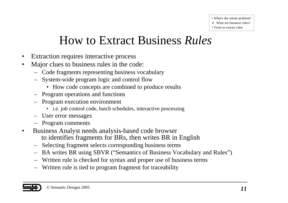### How to Extract Business *Rules*

- $\bullet$ • Extraction requires interactive process
- $\bullet$  Major clues to business rules in the code:
	- Code fragments representing business vocabulary
	- System-wide program logic and control flow
		- How code concepts are combined to produce results
	- Program operations and functions
	- Program execution environment
		- i.e. job control code, batch schedules, interactive processing
	- User error messages
	- Program comments
- $\bullet$  Business Analyst needs analysis-based code browser to identifies fragments for BRs, then writes BR in English
	- Selecting fragment selects corresponding business terms
	- BA writes BR using SBVR ("Semantics of Business Vocabulary and Rules")
	- Written rule is checked for syntax and proper use of business terms
	- Written rule is tied to program fragment for traceability

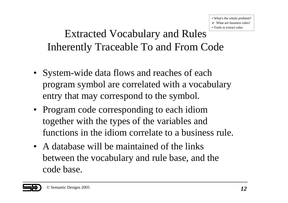#### Extracted Vocabulary and Rules Inherently Traceable To and From Code

- System-wide data flows and reaches of each program symbol are correlated with <sup>a</sup> vocabulary entry that may correspond to the symbol.
- Program code corresponding to each idiom together with the types of the variables and functions in the idiom correlate to <sup>a</sup> business rule.
- A database will be maintained of the links between the vocabulary and rule base, and the code base.

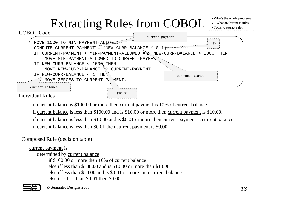## Extracting Rules from COBOL





if <u>current balance</u> is \$100.00 or more then <u>current payment</u> is 10% of <u>current balance</u>.

if <u>current balance</u> is less than \$100.00 and is \$10.00 or more then <u>current payment</u> is \$10.00.

if <u>current balance</u> is less than \$10.00 and is \$0.01 or more then <u>current payment</u> is <u>current balance</u>.

if <u>current balance</u> is less than \$0.01 then current payment is \$0.00.

#### Composed Rule (decision table)

#### current paymen<sup>t</sup> is

determined by <u>current balance</u>

if \$100.00 or more then 10% of current balance else if less than \$100.00 and is \$10.00 or more then \$10.00 else if less than \$10.00 and is \$0.01 or more then current balance else if is less than \$0.01 then \$0.00.

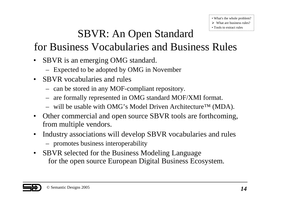## SBVR: An Open Standard

#### for Business Vocabularies and Business Rules

- SBVR is an emerging OMG standard.
	- Expected to be adopted by OMG in November
- SBVR vocabularies and rules
	- can be stored in any MOF-compliant repository.
	- are formally represented in OMG standard MOF/XMI format.
	- will be usable with OMG's Model Driven Architecture™ (MDA).
- Other commercial and open source SBVR tools are forthcoming, from multiple vendors.
- • Industry associations will develop SBVR vocabularies and rules promotes business interoperability
- SBVR selected for the Business Modeling Language for the open source European Digital Business Ecosystem.

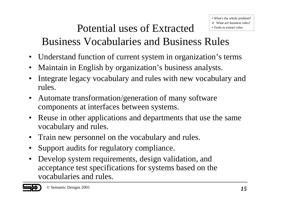#### Potential uses of ExtractedBusiness Vocabularies and Business Rules  $\triangleright$  What are business rules? • Tools to extract rules

- $\bullet$ Understand function of current system in organization's terms
- $\bullet$ Maintain in English by organization's business analysts.
- • Integrate legacy vocabulary and rules with new vocabulary and rules.
- $\bullet$ • Automate transformation/generation of many software components at interfaces between systems.
- Reuse in other applications and departments that use the same vocabulary and rules.
- $\bullet$ • Train new personnel on the vocabulary and rules.
- $\bullet$ Support audits for regulatory compliance.
- $\bullet$  Develop system requirements, design validation, and acceptance test specifications for systems based on the vocabularies and rules.



• What's the whole problem?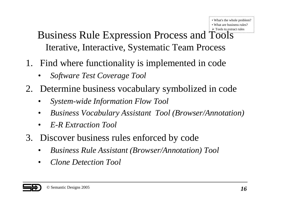#### • What's the whole problem? • What are business rules?  $\triangleright$  Tools to extract rules

#### Business Rule Expression Process and Tools Iterative, Interactive, Systematic Team Process

- 1. Find where functionality is implemented in code
	- •*Software Test Coverage Tool*
- 2. Determine business vocabulary symbolized in code
	- •*System-wide Information Flow Tool*
	- •*Business Vocabulary Assistant Tool (Browser/Annotation)*
	- •*E-R Extraction Tool*
- 3. Discover business rules enforced by code
	- •*Business Rule Assistant (Browser/Annotation) Tool*
	- $\bullet$ *Clone Detection Tool*

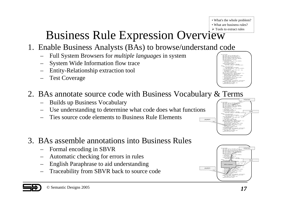CREDIT-LIMIT TO THE-CREDIT-LIMIT. ACTUAL-CRD-LIMIT TO THE-ACTUAL-LIMIT. MIN-PAY-DUE TO PREV-MIN-PAY-DUE. TOTAL-PAYMENTS TO PREV-TOTAL-PAYMENTS. TOTAL-PURCHASES TO PREV-TOTAL-PURCHASES. PREV-BALANCE TO OLD-BALANCE. COMPUTE PAST-DUE-AMT <sup>=</sup> (PREV-MIN-PAY-DUE

 PAST-DUE-AMT <sup>&</sup>lt; <sup>1</sup> THEN ZEROES TO PAST-DUE-AMT. COMPUTE THE-INTEREST-OWED <sup>=</sup> ((OLD-BALANCE

- PREV-TOTAL-PAYMENTS).

 - (THE-CREDIT-LIMIT \* 100). ZEROES TO AMT-OVERLIMIT.

<sup>+</sup> AMT-OVERLIMIT <sup>+</sup> PAST-DUE-AMT).

 <sup>+</sup> PREV-TOTAL-PURCHASES PREV-TOTAL-PAYMENTS) \* (THE-INTEREST-RATE /

 CURRENT-PAYMENT <sup>=</sup> (NEW-CURR-BALANCE \* 0.1). CURRENT-PAYMENT <sup>&</sup>lt; MIN-PAYMENT-ALLOWED NEW-CURR-BALANCE <sup>&</sup>gt; <sup>1000</sup> THEN MIN-PAYMENT-ALLOWED TO CURRENT-PAYMENT. NEW-CURR-BALANCE <sup>&</sup>lt; <sup>1000</sup> THEN NEW-CURR-BALANCE TO CURRENT-PAYMENT. NEW-CURR-BALANCE <sup>&</sup>lt; <sup>1</sup> THEN ZEROES TO CURRENT-PAYMENT.

 THE-INTEREST-OWED FROM THE-ACTUAL-LIMIT. THE-ACTUAL-LIMIT <sup>&</sup>lt; <sup>0</sup> THEN ZEROES TO THE-ACTUAL-LIMIT. SETUP-OUTPUT-FIELDS.

DO-CALCULATIONS.

10000)).COMPUTE(THE-INTEREST-OWED <sup>+</sup> OLD-BALANCE PREV-TOTAL-PURCHASES - PREV-TOTAL-PAYMENTS).

COMPUTEAMT-OVERLIMIT <sup>=</sup>

COMPUTE

COMPUTER PRESS MINIMUM-PAYMENT <sup>=</sup> (CURRENT-PAYMENT

SUBTRACT

payment

# Business Rule Expression Overview

#### 1. Enable Business Analysts (BAs) to browse/understand code

- Full System Browsers for *multiple languages* in system
- System Wide Information flow trace
- Entity-Relationship extraction tool
- Test Coverage

#### 2. BAs annotate source code with Business Vocabulary & Terms

- Builds up Business Vocabulary
- Use understanding to determine what code does what functions
- Ties source code elements to Business Rule Elements
- 3. BAs assemble annotations into Business Rules
	- Formal encoding in SBVR
	- Automatic checking for errors in rules
	- English Paraphrase to aid understanding
	- Traceability from SBVR back to source code





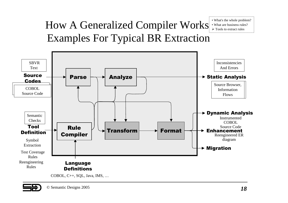### How A Generalized Compiler Works Examples For Typical BR Extraction



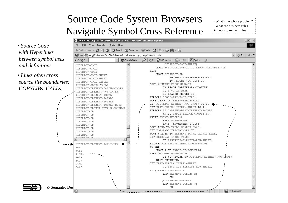### Source Code System Browsers Navigable Symbol Cross Reference

7 DMS HTML Display for COBOL file: CBEDIT.cob - Microsoft Internet Explore

• What's the whole problem? • What are business rules?  $\triangleright$  Tools to extract rules

 $|D|$  $\times$  $|$ 

`

• *Source Code with Hyperlinks between symbol uses and definitions*

• *Links often cross source file boundaries:*  $COPYLIBs, C$ 

|                                            | Edit View Favorites Tools Help<br>細<br>File                                                                                                                                                                                                                                                                                                                                                                                                                                                                                                                                                                                             |  |  |  |  |  |  |
|--------------------------------------------|-----------------------------------------------------------------------------------------------------------------------------------------------------------------------------------------------------------------------------------------------------------------------------------------------------------------------------------------------------------------------------------------------------------------------------------------------------------------------------------------------------------------------------------------------------------------------------------------------------------------------------------------|--|--|--|--|--|--|
| nks                                        | ←Back - → - ② ② ③ △   ③Search 图Favorites ④Media ③   弘- ③ 國 - 国                                                                                                                                                                                                                                                                                                                                                                                                                                                                                                                                                                          |  |  |  |  |  |  |
|                                            | Address (#) file:///C:/WINNT/Profiles/idbaxter/Local%20Settings/Temp/CBEDIT.html#<br>$\mathcal{C}$ Go<br>Links <sup>&gt;&gt;</sup>                                                                                                                                                                                                                                                                                                                                                                                                                                                                                                      |  |  |  |  |  |  |
| bol uses                                   | ▼ 餘 Search Web ▼ ヌ   5   日342 blocked 日 AutoFill<br>$Google -$<br><b>Deptions</b>                                                                                                                                                                                                                                                                                                                                                                                                                                                                                                                                                       |  |  |  |  |  |  |
| ns<br>cross<br><i>oundaries:</i><br>CALLs, | (DISTRICT-CODE-INDEX)<br>DISTRICT-CODE<br>MOVE HOLD-COLLEGE-ID TO REPORT-CLG-DIST-ID<br>DISTRICT-CODE<br><b>ELSE</b><br>DISTRICT-CODE<br>MOVE DISTRICT-ID<br>DISTRICT-CODE-ENTRY<br>IN RUNTIME-PARAMETER-AREA<br>DISTRICT-CODE-INDEX<br>TO REPORT-CLG-DIST-ID.<br>DISTRICT-CODE-VALUES<br>MOVE SUMMARY-PROGRAM-NAME<br>DISTRICT-CODES-TABLE<br>IN PROGRAM-LITERAL-AND-WORK<br>DISTRICT-ELEMENT-COLUMN-INDEX<br>TO PROGRAM-NAME<br>DISTRICT-ELEMENT-ROW-INDEX<br>IN HEADER-REPORT-ID.<br>DISTRICT-ELEMENT-TOTAL<br>PERFORM 85002-PRINT-HEADERS.<br>DISTRICT-ELEMENT-TOTALS<br>MOVE ZERO TO TABLE-SEARCH-FLAG.<br>DISTRICT-ELEMENT-TOTALS |  |  |  |  |  |  |
|                                            | SET DISTRICT-ELEMENT-ROW-INDEX TO 1.<br>DISTRICT-ELEMENT-TOTALS-ROWS<br>SET EDIT-ERROR-LITERAL-INDEX TO 1.<br>DISTRICT-ELEMNT-TOTALS-COLUMNS<br>PERFORM 8810-PRINT-DIST-ELEMENT-TOTALS<br>DISTRICT-ID<br>UNTIL TABLE-SEARCH-COMPLETED.<br>DISTRICT-ID<br>WRITE PRINT-RECORD-2<br>DISTRICT-ID<br>FROM BLANK-LINE<br>DISTRICT-ID<br>AFTER ADVANCING 1 LINE.<br>DISTRICT-ID<br>MOVE ZERO TO TABLE-SEARCH-FLAG.<br>DISTRICT-ID<br>SET TOTAL-DISTRICT-INDEX TO 1.<br>DISTRICT-ID<br>MOVE SPACES TO ELEMENT-TOTAL-DETAIL-LINE.<br>DISTRICT-ID<br>SET ORIGINAL-INDEX-VALUE<br>TO DISTRICT-ELEMENT-ROW-INDEX.                                   |  |  |  |  |  |  |
|                                            | SEARCH DISTRICT-ELEMENT-TOTALS-ROWS<br>DISTRICT-ELEMENT-ROW-INDEX<br>AT END<br>444<br>MOVE 1 TO TABLE-SEARCH-FLAG<br>3415<br>WHEN ORIGINAL-INDEX-VALUE<br>$3452 -$<br>IS NOT EQUAL TO DISTRICT-ELEMENT-ROW-INDEX<br>3463<br>NEXT SENTENCE.<br>5403<br>SET EDIT-ERROR-LITERAL-INDEX<br>5440<br>TO DISTRICT-ELEMENT-ROW-INDEX.<br>5445<br>IF (ELEMENT-ROWS-1-25<br>AND ELEMENT-COLUMN-2)<br>OR.<br>(ELEMENT-ROWS-1-25<br>AND ELEMENT-COLUMN-3)                                                                                                                                                                                            |  |  |  |  |  |  |
| © Semantic Des                             | ΟR                                                                                                                                                                                                                                                                                                                                                                                                                                                                                                                                                                                                                                      |  |  |  |  |  |  |
|                                            | My Computer                                                                                                                                                                                                                                                                                                                                                                                                                                                                                                                                                                                                                             |  |  |  |  |  |  |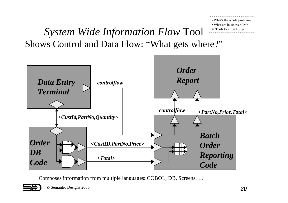• What's the whole problem? • What are business rules?  $\triangleright$  Tools to extract rules

#### *System Wide Information Flow* Tool Shows Control and Data Flow: "What gets where?"



Composes information from multiple languages: COBOL, DB, Screens, …



© Semantic Designs <sup>2005</sup> *20*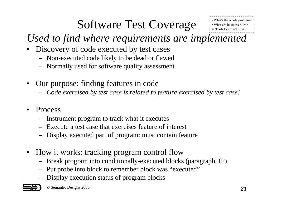# Software Test Coverage

• What's the whole problem? • What are business rules?  $\triangleright$  Tools to extract rules

*Used to find where requirements are implemented*

- Discovery of code executed by test cases
	- Non-executed code likely to be dead or flawed
	- Normally used for software quality assessment
- Our purpose: finding features in code
	- *Code exercised by test case is related to feature exercised by test case!*
- • Process
	- Instrument program to track what it executes
	- Execute <sup>a</sup> test case that exercises feature of interest
	- Display executed par<sup>t</sup> of program: must contain feature
- How it works: tracking program control flow
	- Break program into conditionally-executed blocks (paragraph, IF)
	- Put probe into block to remember block was "executed"
	- Display execution status of program blocks

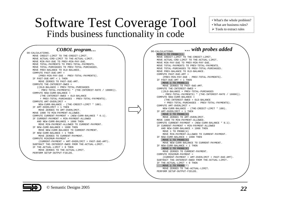#### Software Test Coverage Tool Finds business functionality in code

• What's the whole problem? • What are business rules?  $\triangleright$  Tools to extract rules

| <b>COBOL</b> program                                   | with probes added                                      |
|--------------------------------------------------------|--------------------------------------------------------|
| DO-CALCULATIONS.                                       | DO-CALCULATIONS.                                       |
| MOVE CREDIT-LIMIT TO THE-CREDIT-LIMIT.                 | MOVE 1 TO PROBE(1).                                    |
| MOVE ACTUAL-CRD-LIMIT TO THE-ACTUAL-LIMIT.             | MOVE CREDIT-LIMIT TO THE-CREDIT-LIMIT.                 |
| MOVE MIN-PAY-DUE TO PREV-MIN-PAY-DUE.                  | MOVE ACTUAL-CRD-LIMIT TO THE-ACTUAL-LIMIT.             |
| MOVE TOTAL-PAYMENTS TO PREV-TOTAL-PAYMENTS.            | MOVE MIN-PAY-DUE TO PREV-MIN-PAY-DUE.                  |
| MOVE TOTAL-PURCHASES TO PREV-TOTAL-PURCHASES.          | MOVE TOTAL-PAYMENTS TO PREV-TOTAL-PAYMENTS.            |
| MOVE PREV-BALANCE TO OLD-BALANCE.                      | MOVE TOTAL-PURCHASES TO PREV-TOTAL-PURCHASES.          |
| COMPUTE PAST-DUE-AMT =                                 | MOVE PREV-BALANCE TO OLD-BALANCE.                      |
| (PREV-MIN-PAY-DUE - PREV-TOTAL-PAYMENTS).              | COMPUTE PAST-DUE-AMT =                                 |
| IF PAST-DUE-AMT < 1 THEN                               | (PREV-MIN-PAY-DUE - PREV-TOTAL-PAYMENTS).              |
| MOVE ZEROES TO PAST-DUE-AMT.                           | IF PAST-DUE-AMT < 1 THEN                               |
| COMPUTE THE-INTEREST-OWED =                            | MOVE 1 TO PROBE(2)                                     |
| ((OLD-BALANCE + PREV-TOTAL-PURCHASES)                  | MOVE ZEROES TO PAST-DUE-AMT.                           |
| - PREV-TOTAL-PAYMENTS) * (THE-INTEREST-RATE / 10000)). | COMPUTE THE-INTEREST-OWED =                            |
| COMPUTE NEW-CURR-BALANCE =                             | ((OLD-BALANCE + PREV-TOTAL-PURCHASES)                  |
| (THE-INTEREST-OWED + OLD-BALANCE                       | - PREV-TOTAL-PAYMENTS) * (THE-INTEREST-RATE / 10000)). |
| + PREV-TOTAL-PURCHASES - PREV-TOTAL-PAYMENTS).         | COMPUTE NEW-CURR-BALANCE =                             |
| COMPUTE AMT-OVERLIMIT =                                | (THE-INTEREST-OWED + OLD-BALANCE                       |
| NEW-CURR-BALANCE - (THE-CREDIT-LIMIT * 100).           | + PREV-TOTAL-PURCHASES - PREV-TOTAL-PAYMENTS).         |
| IF AMT-OVERLIMIT < 1 THEN                              | COMPUTE AMT-OVERLIMIT =                                |
| MOVE ZEROES TO AMT-OVERLIMIT.                          | NEW-CURR-BALANCE - (THE-CREDIT-LIMIT * 100).           |
| MOVE 1000 TO MIN-PAYMENT-ALLOWED.                      | IF AMT-OVERLIMIT < 1 THEN                              |
| COMPUTE CURRENT-PAYMENT = $(NEW-CURR-BALANCE * 0.1)$ . | MOVE 1 TO PROBE(3)                                     |
| IF CURRENT-PAYMENT < MIN-PAYMENT-ALLOWED               | MOVE ZEROES TO AMT-OVERLIMIT.                          |
| AND NEW-CURR-BALANCE > 1000 THEN                       | MOVE 1000 TO MIN-PAYMENT-ALLOWED.                      |
|                                                        | COMPUTE CURRENT-PAYMENT = $(NEW-CURR-BALANCE * 0.1)$ . |
| MOVE MIN-PAYMENT-ALLOWED TO CURRENT-PAYMENT.           | IF CURRENT-PAYMENT < MIN-PAYMENT-ALLOWED               |
| IF NEW-CURR-BALANCE < 1000 THEN                        | AND NEW-CURR-BALANCE > 1000 THEN                       |
| MOVE NEW-CURR-BALANCE TO CURRENT-PAYMENT.              | MOVE 1 TO PROBE(4)                                     |
| IF NEW-CURR-BALANCE < 1 THEN                           | MOVE MIN-PAYMENT-ALLOWED TO CURRENT-PAYMENT.           |
| MOVE ZEROES TO CURRENT-PAYMENT.                        | IF NEW-CURR-BALANCE < 1000 THEN                        |
| COMPUTE MINIMUM-PAYMENT =                              | MOVE 1 TO PROBE(5)                                     |
| (CURRENT-PAYMENT + AMT-OVERLIMIT + PAST-DUE-AMT).      | MOVE NEW-CURR-BALANCE TO CURRENT-PAYMENT.              |
| SUBTRACT THE-INTEREST-OWED FROM THE-ACTUAL-LIMIT.      | IF NEW-CURR-BALANCE < 1 THEN                           |
| IF THE-ACTUAL-LIMIT < 0 THEN                           | MOVE 1 TO PROBE(6)                                     |
| MOVE ZEROES TO THE-ACTUAL-LIMIT.                       | MOVE ZEROES TO CURRENT-PAYMENT.                        |
| PERFORM SETUP-OUTPUT-FIELDS.                           | COMPUTE MINIMUM-PAYMENT =                              |
|                                                        | (CURRENT-PAYMENT + AMT-OVERLIMIT + PAST-DUE-AMT).      |
|                                                        | SUBTRACT THE-INTEREST-OWED FROM THE-ACTUAL-LIMIT.      |
|                                                        | IF THE-ACTUAL-LIMIT < 0 THEN                           |
|                                                        | MOVE 1 TO PROBE(7)                                     |
|                                                        | MOVE ZEROES TO THE-ACTUAL-LIMIT.                       |
|                                                        | PERFORM SETUP-OUTPUT-FIELDS.                           |
|                                                        |                                                        |

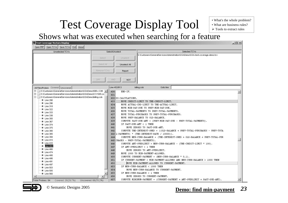## Test Coverage Display Tool

• What's the whole problem? • What are business rules?  $\triangleright$  Tools to extract rules

#### Shows what was executed when searching for <sup>a</sup> feature

| Unselected TCVs                                                  |             | Select/Unselect                    | Selected TCVs                                                                 |  |
|------------------------------------------------------------------|-------------|------------------------------------|-------------------------------------------------------------------------------|--|
|                                                                  | Select      | Unselect                           | S:\Customers\GeneralServicesAdministration\GSADemo\GSA-test-coverage-demo.tcv |  |
|                                                                  |             |                                    |                                                                               |  |
|                                                                  | Select All  | Unselect All                       |                                                                               |  |
|                                                                  | Remove TCVs | Report                             |                                                                               |  |
|                                                                  | <b>DIFF</b> | AND:<br><b>NOT</b>                 |                                                                               |  |
| All Files/Probes Covered   Uncovered                             |             | Line 452/813                       | billing.cob<br>Goto line                                                      |  |
| E S:\Customers\GeneralServicesAdministration\GSADemo\50Ex.COB 4  |             | END-IF.<br>430                     |                                                                               |  |
| E S:\Customers\GeneralServicesAdministration\GSADemo\CCVS85.co   |             | 431                                |                                                                               |  |
| E S:\Customers\GeneralServicesAdministration\GSADemo\billing.cob |             | 432 DO-CALCULATIONS.               |                                                                               |  |
| <b>Externe 290</b>                                               |             | 433                                | MOVE CREDIT-LIMIT TO THE-CREDIT-LIMIT.                                        |  |
| <b>Externe 296</b>                                               |             | 434                                | MOVE ACTUAL-CRD-LIMIT TO THE-ACTUAL-LIMIT.                                    |  |
| <b>External Line 318</b>                                         |             | 435                                | MOVE MIN-PAY-DUE TO PREV-MIN-PAY-DUE.                                         |  |
| <b>Externe 322</b><br><b>Externe</b> 333                         |             | 436                                | MOVE TOTAL-PAYMENTS TO PREV-TOTAL-PAYMENTS.                                   |  |
| <b>Externe 338</b>                                               |             | 437                                | MOVE TOTAL-PURCHASES TO PREV-TOTAL-PURCHASES.                                 |  |
| Line 350                                                         |             | 438                                | MOVE PREV-BALANCE TO OLD-BALANCE.                                             |  |
| # Line 367                                                       |             | 439                                | COMPUTE PAST-DUE-AMT = (PREV-MIN-PAY-DUE - PREV-TOTAL-PAYMENTS).              |  |
| # Line 374                                                       |             | 440                                | IF PAST-DUE-AMT < 1 THEN                                                      |  |
| <b>Externe 375</b>                                               |             | 441                                | MOVE ZEROES TO PAST-DUE-AMT.                                                  |  |
| <b>E</b> Line 380                                                |             | 442                                | COMPUTE THE-INTEREST-OWED = ((OLD-BALANCE + PREV-TOTAL-PURCHASES - PREV-TOTA  |  |
| <b>E</b> Line 385                                                |             |                                    | 443 L-PAYMENTS) * (THE-INTEREST-RATE / 10000)).                               |  |
| <b>E</b> Line 394                                                |             | 444                                | COMPUTE NEW-CURR-BALANCE = (THE-INTEREST-OWED + OLD-BALANCE + PREV-TOTAL-PUR  |  |
| <b>Externe 415</b>                                               |             | 445 CHASES - PREV-TOTAL-PAYMENTS). |                                                                               |  |
| <b>Externe 433</b>                                               |             | 446                                | COMPUTE AMT-OVERLIMIT = NEW-CURR-BALANCE - (THE-CREDIT-LIMIT $*$ 100).        |  |
| <b>C</b> Line 452                                                |             | 447                                | IF AMT-OVERLIMIT < 1 THEN                                                     |  |
| <b>E</b> Line 466                                                |             | 448                                | MOVE ZEROES TO AMT-OVERLIMIT.                                                 |  |
| <b>*</b> Line 474                                                |             | 449                                | MOVE 1000 TO MIN-PAYMENT-ALLOWED.                                             |  |
| <b>E</b> Line 480                                                |             | 450                                | COMPUTE CURRENT-PAYMENT = $(NEW-CURR-BALANCE * 0.1)$ .                        |  |
| <b>E</b> Line 486                                                |             | 451                                | IF CURRENT-PAYMENT < MIN-PAYMENT-ALLOWED AND NEW-CURR-BALANCE > 1000 THEN     |  |
| <b>Externe 491</b>                                               |             | 452                                |                                                                               |  |
| <b>E</b> Line 497                                                |             |                                    | MOVE MIN-PAYMENT-ALLOWED TO CURRENT-PAYMENT.                                  |  |
| Line 503                                                         |             | 453                                | IF NEW-CURR-BALANCE < 1000 THEN                                               |  |
| # Line 505                                                       |             | 454                                | MOVE NEW-CURR-BALANCE TO CURRENT-PAYMENT.                                     |  |
| + Line 560                                                       |             | 455                                | IF NEW-CURR-BALANCE < 1 THEN                                                  |  |
|                                                                  |             | 456                                | MOVE ZEROES TO CURRENT-PAYMENT.                                               |  |
| Total Probes: 94 Covered: 28(29.7%) Uncovered: 66(70.2%)         |             | 457                                | COMPUTE MINIMUM-PAYMENT = (CURRENT-PAYMENT + AMT-OVERLIMIT + PAST-DUE-AMT).   |  |

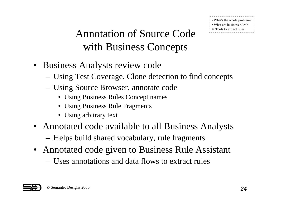### Annotation of Source Code with Business Concepts

- Business Analysts review code
	- Using Test Coverage, Clone detection to find concepts
	- Using Source Browser, annotate code
		- Using Business Rules Concept names
		- Using Business Rule Fragments
		- Using arbitrary text
- Annotated code available to all Business Analysts
	- Helps build shared vocabulary, rule fragments
- Annotated code given to Business Rule Assistant
	- Uses annotations and data flows to extract rules

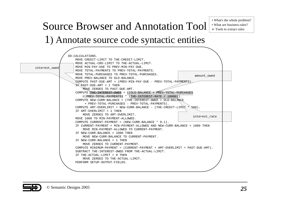• What's the whole problem? • What are business rules?  $\triangleright$  Tools to extract rules

#### Source Browser and Annotation Tool 1) Annotate source code syntactic entities

amount owed interest \_ rate DO-CALCULATIONS.MOVE CREDIT-LIMIT TO THE-CREDIT-LIMIT. MOVE ACTUAL-CRD-LIMIT TO THE-ACTUAL-LIMIT. MOVE MIN-PAY-DUE TO PREV-MIN-PAY-DUE. MOVE TOTAL-PAYMENTS TO PREV-TOTAL-PAYMENTS. MOVE TOTAL-PURCHASES TO PREV-TOTAL-PURCHASES. MOVE PREV-BALANCE TO OLD-BALANCE. COMPUTE PAST-DUE-AMT <sup>=</sup> (PREV-MIN-PAY-DUE - PREV-TOTAL-PAYMENTS). IF PAST-DUE-AMT <sup>&</sup>lt; 1 THEN MOVE ZEROES TO PAST-DUE-AMT. COMPUTE THE-INTEREST-OWED <sup>=</sup> ((OLD-BALANCE <sup>+</sup> PREV-TOTAL-PURCHASES - PREV-TOTAL-PAYMENTS) \* (THE-INTEREST-RATE / 10000)). COMPUTE NEW-CURR-BALANCE <sup>=</sup> (THE-INTEREST-OWED <sup>+</sup> OLD-BALANCE + PREV-TOTAL-PURCHASES - PREV-TOTAL-PAYMENTS). COMPUTE AMT-OVERLIMIT <sup>=</sup> NEW-CURR-BALANCE - (THE-CREDIT-LIMIT \* 100). IF AMT-OVERLIMIT <sup>&</sup>lt; 1 THEN MOVE ZEROES TO AMT-OVERLIMIT. MOVE 1000 TO MIN-PAYMENT-ALLOWED. COMPUTE CURRENT-PAYMENT <sup>=</sup> (NEW-CURR-BALANCE \* 0.1). IF CURRENT-PAYMENT <sup>&</sup>lt; MIN-PAYMENT-ALLOWED AND NEW-CURR-BALANCE <sup>&</sup>gt; 1000 THEN MOVE MIN-PAYMENT-ALLOWED TO CURRENT-PAYMENT. IF NEW-CURR-BALANCE <sup>&</sup>lt; 1000 THEN MOVE NEW-CURR-BALANCE TO CURRENT-PAYMENT. IF NEW-CURR-BALANCE <sup>&</sup>lt; 1 THEN MOVE ZEROES TO CURRENT-PAYMENT. COMPUTE MINIMUM-PAYMENT <sup>=</sup> (CURRENT-PAYMENT <sup>+</sup> AMT-OVERLIMIT <sup>+</sup> PAST-DUE-AMT). SUBTRACT THE-INTEREST-OWED FROM THE-ACTUAL-LIMIT. IF THE-ACTUAL-LIMIT <sup>&</sup>lt; 0 THEN MOVE ZEROES TO THE-ACTUAL-LIMIT. PERFORM SETUP-OUTPUT-FIELDS.

interest \_ owed

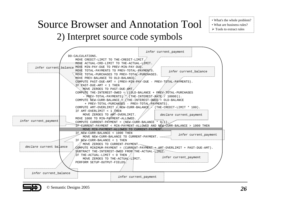#### Source Browser and Annotation Tool 2) Interpret source code symbols

• What's the whole problem? • What are business rules?  $\triangleright$  Tools to extract rules



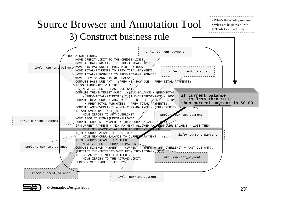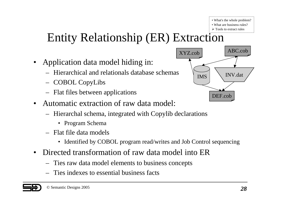# Entity Relationship (ER) Extraction

- • Application data model hiding in:
	- Hierarchical and relationals database schemas
	- COBOL CopyLibs
	- Flat files between applications
- Automatic extraction of raw data model:
	- Hierarchal schema, integrated with Copylib declarations
		- Program Schema
	- Flat file data models
		- Identified by COBOL program read/writes and Job Control sequencing
- Directed transformation of raw data model into ER
	- Ties raw data model elements to business concepts
	- Ties indexes to essential business facts



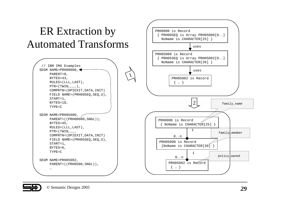### ER Extraction by Automated Transforms